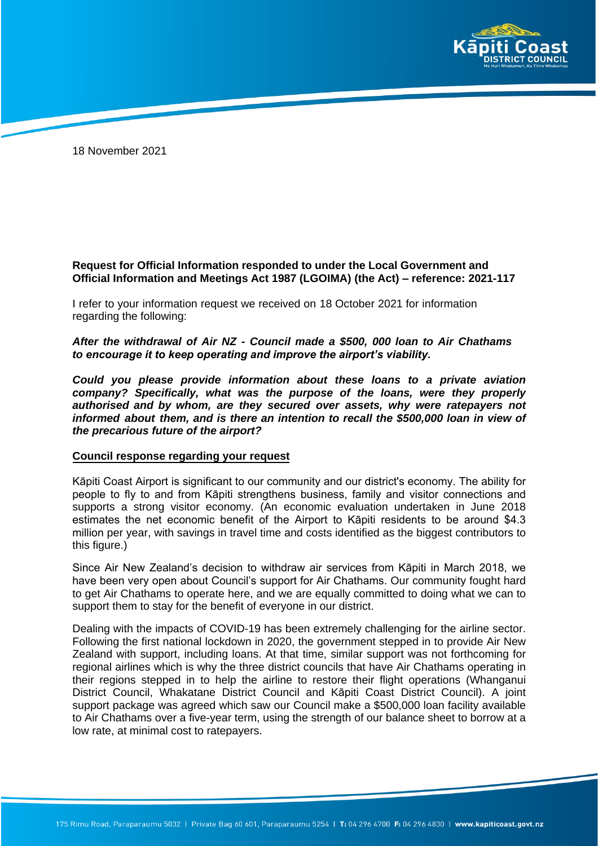

18 November 2021

## **Request for Official Information responded to under the Local Government and Official Information and Meetings Act 1987 (LGOIMA) (the Act) – reference: 2021-117**

I refer to your information request we received on 18 October 2021 for information regarding the following:

*After the withdrawal of Air NZ - Council made a \$500, 000 loan to Air Chathams to encourage it to keep operating and improve the airport's viability.* 

*Could you please provide information about these loans to a private aviation company? Specifically, what was the purpose of the loans, were they properly authorised and by whom, are they secured over assets, why were ratepayers not informed about them, and is there an intention to recall the \$500,000 loan in view of the precarious future of the airport?* 

## **Council response regarding your request**

Kāpiti Coast Airport is significant to our community and our district's economy. The ability for people to fly to and from Kāpiti strengthens business, family and visitor connections and supports a strong visitor economy. (An economic evaluation undertaken in June 2018 estimates the net economic benefit of the Airport to Kāpiti residents to be around \$4.3 million per year, with savings in travel time and costs identified as the biggest contributors to this figure.)

Since Air New Zealand's decision to withdraw air services from Kāpiti in March 2018, we have been very open about Council's support for Air Chathams. Our community fought hard to get Air Chathams to operate here, and we are equally committed to doing what we can to support them to stay for the benefit of everyone in our district.

Dealing with the impacts of COVID-19 has been extremely challenging for the airline sector. Following the first national lockdown in 2020, the government stepped in to provide Air New Zealand with support, including loans. At that time, similar support was not forthcoming for regional airlines which is why the three district councils that have Air Chathams operating in their regions stepped in to help the airline to restore their flight operations (Whanganui District Council, Whakatane District Council and Kāpiti Coast District Council). A joint support package was agreed which saw our Council make a \$500,000 loan facility available to Air Chathams over a five-year term, using the strength of our balance sheet to borrow at a low rate, at minimal cost to ratepayers.